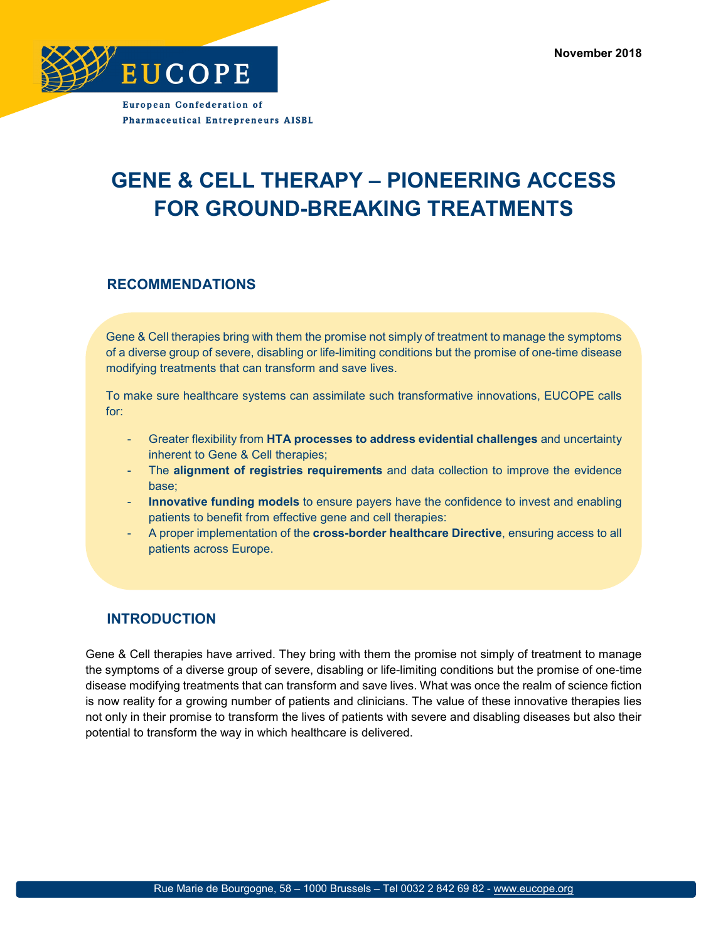**November 2018**



**European Confederation of Pharmaceutical Entrepreneurs AISBL** 

# **GENE & CELL THERAPY – PIONEERING ACCESS FOR GROUND-BREAKING TREATMENTS**

### **RECOMMENDATIONS**

Gene & Cell therapies bring with them the promise not simply of treatment to manage the symptoms of a diverse group of severe, disabling or life-limiting conditions but the promise of one-time disease modifying treatments that can transform and save lives.

To make sure healthcare systems can assimilate such transformative innovations, EUCOPE calls for:

- Greater flexibility from **HTA processes to address evidential challenges** and uncertainty inherent to Gene & Cell therapies;
- The **alignment of registries requirements** and data collection to improve the evidence base;
- **Innovative funding models** to ensure payers have the confidence to invest and enabling patients to benefit from effective gene and cell therapies:
- A proper implementation of the **cross-border healthcare Directive**, ensuring access to all patients across Europe.

### **INTRODUCTION**

Gene & Cell therapies have arrived. They bring with them the promise not simply of treatment to manage the symptoms of a diverse group of severe, disabling or life-limiting conditions but the promise of one-time disease modifying treatments that can transform and save lives. What was once the realm of science fiction is now reality for a growing number of patients and clinicians. The value of these innovative therapies lies not only in their promise to transform the lives of patients with severe and disabling diseases but also their potential to transform the way in which healthcare is delivered.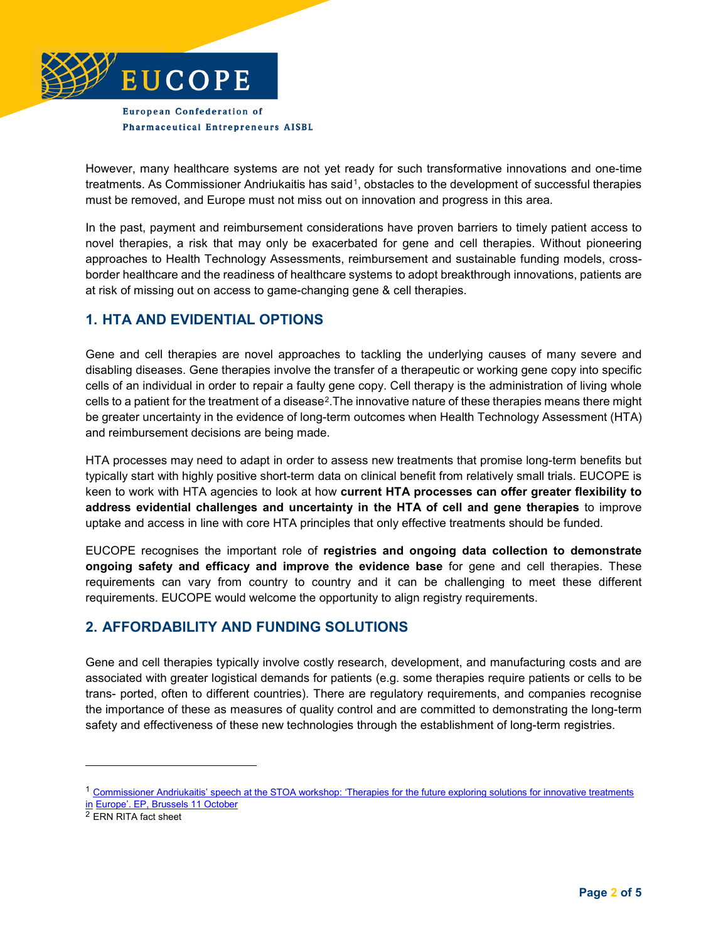

**European Confederation of Pharmaceutical Entrepreneurs AISBL** 

However, many healthcare systems are not yet ready for such transformative innovations and one-time treatments. As Commissioner Andriukaitis has said<sup>1</sup>, obstacles to the development of successful therapies must be removed, and Europe must not miss out on innovation and progress in this area.

In the past, payment and reimbursement considerations have proven barriers to timely patient access to novel therapies, a risk that may only be exacerbated for gene and cell therapies. Without pioneering approaches to Health Technology Assessments, reimbursement and sustainable funding models, crossborder healthcare and the readiness of healthcare systems to adopt breakthrough innovations, patients are at risk of missing out on access to game-changing gene & cell therapies.

# **1. HTA AND EVIDENTIAL OPTIONS**

Gene and cell therapies are novel approaches to tackling the underlying causes of many severe and disabling diseases. Gene therapies involve the transfer of a therapeutic or working gene copy into specific cells of an individual in order to repair a faulty gene copy. Cell therapy is the administration of living whole cells to a patient for the treatment of a disease[2.](#page-1-1)The innovative nature of these therapies means there might be greater uncertainty in the evidence of long-term outcomes when Health Technology Assessment (HTA) and reimbursement decisions are being made.

HTA processes may need to adapt in order to assess new treatments that promise long-term benefits but typically start with highly positive short-term data on clinical benefit from relatively small trials. EUCOPE is keen to work with HTA agencies to look at how **current HTA processes can offer greater flexibility to address evidential challenges and uncertainty in the HTA of cell and gene therapies** to improve uptake and access in line with core HTA principles that only effective treatments should be funded.

EUCOPE recognises the important role of **registries and ongoing data collection to demonstrate ongoing safety and efficacy and improve the evidence base** for gene and cell therapies. These requirements can vary from country to country and it can be challenging to meet these different requirements. EUCOPE would welcome the opportunity to align registry requirements.

# **2. AFFORDABILITY AND FUNDING SOLUTIONS**

Gene and cell therapies typically involve costly research, development, and manufacturing costs and are associated with greater logistical demands for patients (e.g. some therapies require patients or cells to be trans- ported, often to different countries). There are regulatory requirements, and companies recognise the importance of these as measures of quality control and are committed to demonstrating the long-term safety and effectiveness of these new technologies through the establishment of long-term registries.

j

<span id="page-1-0"></span><sup>&</sup>lt;sup>1</sup> Commissioner Andriukaitis' speech at the STOA workshop: 'Therapies for the future exploring solutions for innovative treatments [in](https://ec.europa.eu/commission/commissioners/2014-2019/andriukaitis/announcements/stoa-workshop-therapies-future-exploring-solutions-innovative-treatments-europe-european-parliament_en) [Europe'. EP, Brussels 11 October](https://ec.europa.eu/commission/commissioners/2014-2019/andriukaitis/announcements/stoa-workshop-therapies-future-exploring-solutions-innovative-treatments-europe-european-parliament_en)

<span id="page-1-1"></span><sup>2</sup> ERN RITA fact sheet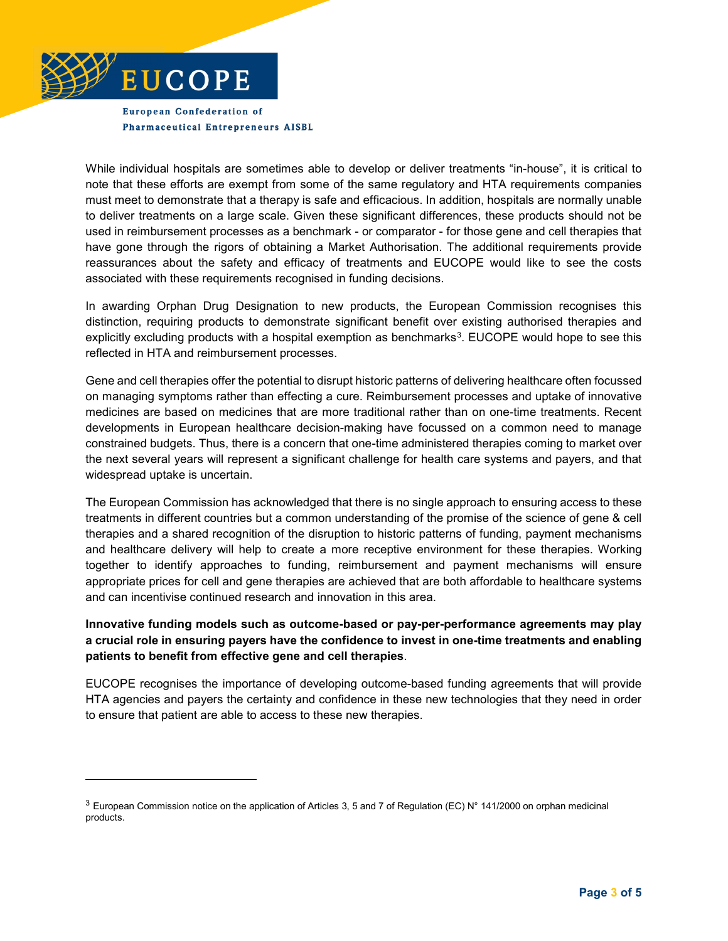

-

**European Confederation of Pharmaceutical Entrepreneurs AISBL** 

While individual hospitals are sometimes able to develop or deliver treatments "in-house", it is critical to note that these efforts are exempt from some of the same regulatory and HTA requirements companies must meet to demonstrate that a therapy is safe and efficacious. In addition, hospitals are normally unable to deliver treatments on a large scale. Given these significant differences, these products should not be used in reimbursement processes as a benchmark - or comparator - for those gene and cell therapies that have gone through the rigors of obtaining a Market Authorisation. The additional requirements provide reassurances about the safety and efficacy of treatments and EUCOPE would like to see the costs associated with these requirements recognised in funding decisions.

In awarding Orphan Drug Designation to new products, the European Commission recognises this distinction, requiring products to demonstrate significant benefit over existing authorised therapies and explicitly excluding products with a hospital exemption as benchmarks<sup>[3](#page-2-0)</sup>. EUCOPE would hope to see this reflected in HTA and reimbursement processes.

Gene and cell therapies offer the potential to disrupt historic patterns of delivering healthcare often focussed on managing symptoms rather than effecting a cure. Reimbursement processes and uptake of innovative medicines are based on medicines that are more traditional rather than on one-time treatments. Recent developments in European healthcare decision-making have focussed on a common need to manage constrained budgets. Thus, there is a concern that one-time administered therapies coming to market over the next several years will represent a significant challenge for health care systems and payers, and that widespread uptake is uncertain.

The European Commission has acknowledged that there is no single approach to ensuring access to these treatments in different countries but a common understanding of the promise of the science of gene & cell therapies and a shared recognition of the disruption to historic patterns of funding, payment mechanisms and healthcare delivery will help to create a more receptive environment for these therapies. Working together to identify approaches to funding, reimbursement and payment mechanisms will ensure appropriate prices for cell and gene therapies are achieved that are both affordable to healthcare systems and can incentivise continued research and innovation in this area.

#### **Innovative funding models such as outcome-based or pay-per-performance agreements may play a crucial role in ensuring payers have the confidence to invest in one-time treatments and enabling patients to benefit from effective gene and cell therapies**.

EUCOPE recognises the importance of developing outcome-based funding agreements that will provide HTA agencies and payers the certainty and confidence in these new technologies that they need in order to ensure that patient are able to access to these new therapies.

<span id="page-2-0"></span><sup>&</sup>lt;sup>3</sup> European Commission notice on the application of Articles 3, 5 and 7 of Regulation (EC) N° 141/2000 on orphan medicinal products.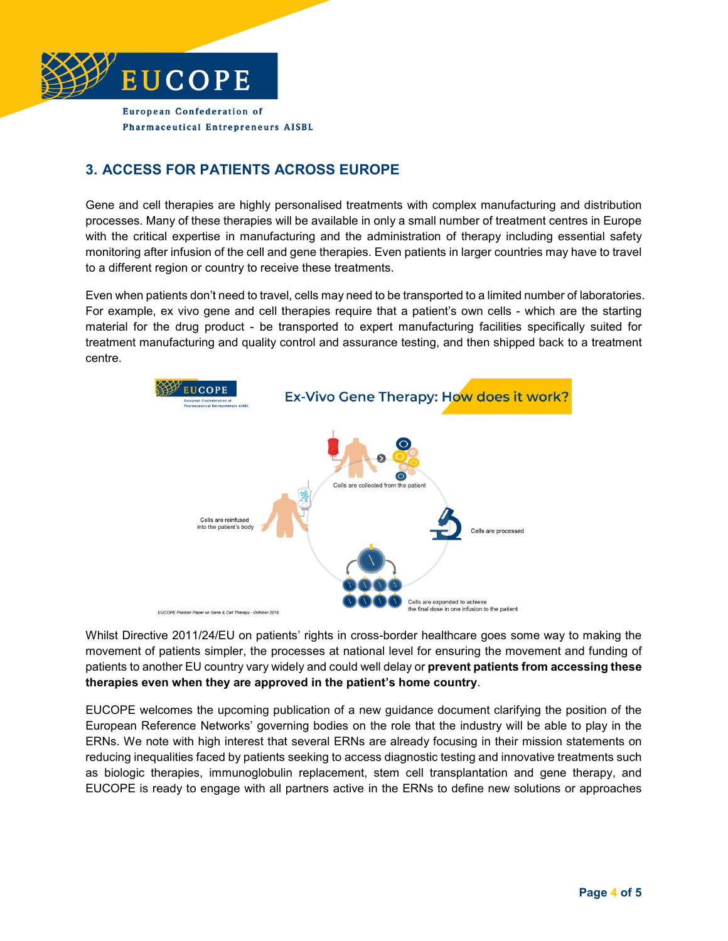

**European Confederation of Pharmaceutical Entrepreneurs AISBL** 

# **3. ACCESS FOR PATIENTS ACROSS EUROPE**

Gene and cell therapies are highly personalised treatments with complex manufacturing and distribution processes. Many of these therapies will be available in only a small number of treatment centres in Europe with the critical expertise in manufacturing and the administration of therapy including essential safety monitoring after infusion of the cell and gene therapies. Even patients in larger countries may have to travel to a different region or country to receive these treatments.

Even when patients don't need to travel, cells may need to be transported to a limited number of laboratories. For example, ex vivo gene and cell therapies require that a patient's own cells - which are the starting material for the drug product - be transported to expert manufacturing facilities specifically suited for treatment manufacturing and quality control and assurance testing, and then shipped back to a treatment centre.



Whilst Directive 2011/24/EU on patients' rights in cross-border healthcare goes some way to making the movement of patients simpler, the processes at national level for ensuring the movement and funding of patients to another EU country vary widely and could well delay or **prevent patients from accessing these therapies even when they are approved in the patient's home country**.

EUCOPE welcomes the upcoming publication of a new guidance document clarifying the position of the European Reference Networks' governing bodies on the role that the industry will be able to play in the ERNs. We note with high interest that several ERNs are already focusing in their mission statements on reducing inequalities faced by patients seeking to access diagnostic testing and innovative treatments such as biologic therapies, immunoglobulin replacement, stem cell transplantation and gene therapy, and EUCOPE is ready to engage with all partners active in the ERNs to define new solutions or approaches